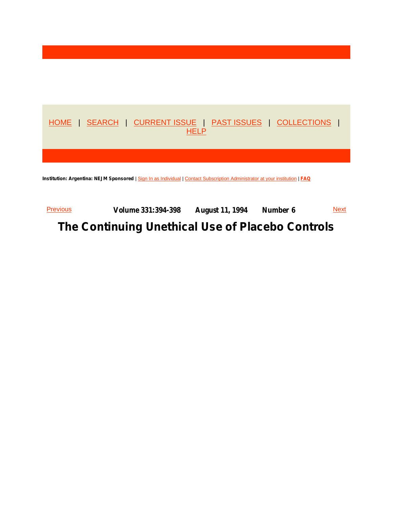

[Previous](http://content.nejm.org/cgi/content/short/331/6/393) Volume 331:394-398 August 11, 1994 Number 6 [Next](http://content.nejm.org/cgi/content/short/331/6/399) The Continuing Unethical Use of Placebo Controls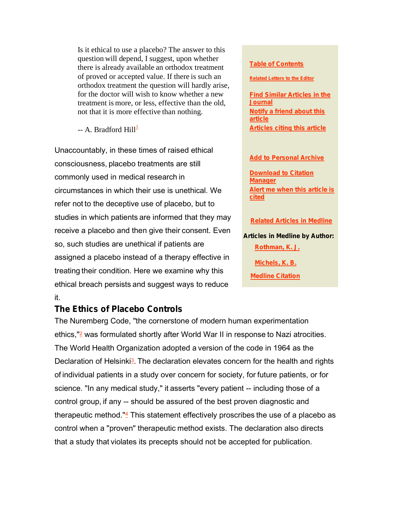Is it ethical to use a placebo? The answer to this question will depend, I suggest, upon whether there is already available an orthodox treatment of proved or accepted value. If there is such an orthodox treatment the question will hardly arise, for the doctor will wish to know whether a new treatment is more, or less, effective than the old, not that it is more effective than nothing.

 $-$  A. Bradford Hill $\frac{1}{2}$ 

Unaccountably, in these times of raised ethical consciousness, placebo treatments are still commonly used in medical research in circumstances in which their use is unethical. We refer not to the deceptive use of placebo, but to studies in which patients are informed that they may receive a placebo and then give their consent. Even so, such studies are unethical if patients are assigned a placebo instead of a therapy effective in treating their condition. Here we examine why this ethical breach persists and suggest ways to reduce it.

# The Ethics of Placebo Controls

The Nuremberg Code, "the cornerstone of modern human experimentation ethics,"<sup>2</sup> was formulated shortly after World War II in response to Nazi atrocities. The World Health Organization adopted a version of the code in 1964 as the Declaration of Helsinki<sup>3</sup>. The declaration elevates concern for the health and rights of individual patients in a study over concern for society, for future patients, or for science. "In any medical study," it asserts "every patient -- including those of a control group, if any -- should be assured of the best proven diagnostic and therapeutic method." $\frac{4}{3}$  This statement effectively proscribes the use of a placebo as control when a "proven" therapeutic method exists. The declaration also directs that a study that violates its precepts should not be accepted for publication.

#### [Table of Contents](http://content.nejm.org/content/vol331/issue6/index.shtml)

Related Letters to the Editor

[Find Similar Articles in the](http://content.nejm.org/cgi/search?qbe=nejm;331/6/394&journalcode=nejm&minscore=5000)  **[Journal](http://content.nejm.org/cgi/search?qbe=nejm;331/6/394&journalcode=nejm&minscore=5000)** [Notify a friend about this](http://content.nejm.org/cgi/mailafriend?url=http://content.nejm.org/cgi/content/short/331/6/394&title=The+Continuing+Unethical+Use+of+Placebo+Controls)  [article](http://content.nejm.org/cgi/mailafriend?url=http://content.nejm.org/cgi/content/short/331/6/394&title=The+Continuing+Unethical+Use+of+Placebo+Controls) Articles citing this article

#### [Add to Personal Archive](http://content.nejm.org/cgi/folders?action=addtofolder&wherefrom=JOURNALS&wrapped_id=nejm;331/6/394)

[Download to Citation](http://content.nejm.org/cgi/citmgr?gca=nejm;331/6/394)  **[Manager](http://content.nejm.org/cgi/citmgr?gca=nejm;331/6/394)** [Alert me when this article is](http://content.nejm.org/cgi/alerts/ctalert?alertType=citedby&addAlert=cited_by&saveAlert=no&cited_by_criteria_resid=nejm;331/6/394&return_type=article&return_url=%2Fcgi%2Fcontent%2Ffull%2F331%2F6%2F394%3Fijkey%3Da4cde8a4ec9f9fdc8d15ced82ce06c3b)  [cited](http://content.nejm.org/cgi/alerts/ctalert?alertType=citedby&addAlert=cited_by&saveAlert=no&cited_by_criteria_resid=nejm;331/6/394&return_type=article&return_url=%2Fcgi%2Fcontent%2Ffull%2F331%2F6%2F394%3Fijkey%3Da4cde8a4ec9f9fdc8d15ced82ce06c3b)

#### [Related Articles in Medline](http://content.nejm.org/cgi/external_ref?access_num=8028622&link_type=MED_NBRS)

Articles in Medline by Author: [Rothman, K. J.](http://content.nejm.org/cgi/external_ref?access_num=Rothman+KJ&link_type=AUTHORSEARCH) [Michels, K. B.](http://content.nejm.org/cgi/external_ref?access_num=Michels+KB&link_type=AUTHORSEARCH)

[Medline Citation](http://content.nejm.org/cgi/external_ref?access_num=8028622&link_type=PUBMED)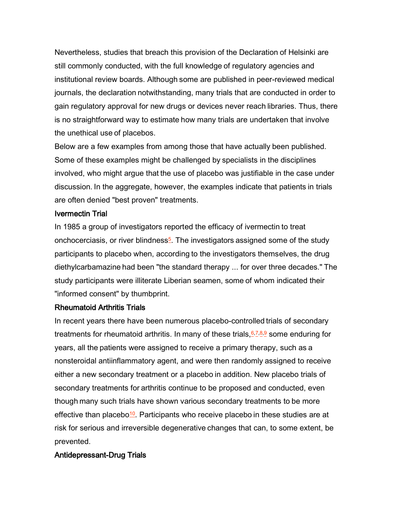Nevertheless, studies that breach this provision of the Declaration of Helsinki are still commonly conducted, with the full knowledge of regulatory agencies and institutional review boards. Although some are published in peer-reviewed medical journals, the declaration notwithstanding, many trials that are conducted in order to gain regulatory approval for new drugs or devices never reach libraries. Thus, there is no straightforward way to estimate how many trials are undertaken that involve the unethical use of placebos.

Below are a few examples from among those that have actually been published. Some of these examples might be challenged by specialists in the disciplines involved, who might argue that the use of placebo was justifiable in the case under discussion. In the aggregate, however, the examples indicate that patients in trials are often denied "best proven" treatments.

## Ivermectin Trial

In 1985 a group of investigators reported the efficacy of ivermectin to treat onchocerciasis, or river blindness $\frac{5}{2}$ . The investigators assigned some of the study participants to placebo when, according to the investigators themselves, the drug diethylcarbamazine had been "the standard therapy ... for over three decades." The study participants were illiterate Liberian seamen, some of whom indicated their "informed consent" by thumbprint.

## Rheumatoid Arthritis Trials

In recent years there have been numerous placebo-controlled trials of secondary treatments for rheumatoid arthritis. In many of these trials,  $6,7,8,9$  some enduring for years, all the patients were assigned to receive a primary therapy, such as a nonsteroidal antiinflammatory agent, and were then randomly assigned to receive either a new secondary treatment or a placebo in addition. New placebo trials of secondary treatments for arthritis continue to be proposed and conducted, even though many such trials have shown various secondary treatments to be more effective than placebo<sup>10</sup>. Participants who receive placebo in these studies are at risk for serious and irreversible degenerative changes that can, to some extent, be prevented.

## Antidepressant-Drug Trials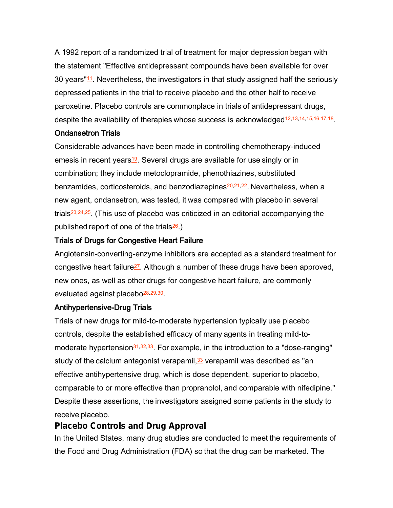A 1992 report of a randomized trial of treatment for major depression began with the statement "Effective antidepressant compounds have been available for over 30 years"<sup>11</sup>. Nevertheless, the investigators in that study assigned half the seriously depressed patients in the trial to receive placebo and the other half to receive paroxetine. Placebo controls are commonplace in trials of antidepressant drugs, despite the availability of therapies whose success is acknowledged<sup>12,13,14,15,16,17,18</sup>.

## Ondansetron Trials

Considerable advances have been made in controlling chemotherapy-induced emesis in recent years<sup>19</sup>. Several drugs are available for use singly or in combination; they include metoclopramide, phenothiazines, substituted benzamides, corticosteroids, and benzodiazepines<sup>20,21,22</sup>. Nevertheless, when a new agent, ondansetron, was tested, it was compared with placebo in several trials $23,24,25$ . (This use of placebo was criticized in an editorial accompanying the published report of one of the trials $\frac{26}{1}$ .

# Trials of Drugs for Congestive Heart Failure

Angiotensin-converting-enzyme inhibitors are accepted as a standard treatment for congestive heart failure $27$ . Although a number of these drugs have been approved, new ones, as well as other drugs for congestive heart failure, are commonly evaluated against placebo<sup>28,29,30</sup>.

# Antihypertensive-Drug Trials

Trials of new drugs for mild-to-moderate hypertension typically use placebo controls, despite the established efficacy of many agents in treating mild-tomoderate hypertension<sup>31,32,33</sup>. For example, in the introduction to a "dose-ranging" study of the calcium antagonist verapamil, <sup>33</sup> verapamil was described as "an effective antihypertensive drug, which is dose dependent, superior to placebo, comparable to or more effective than propranolol, and comparable with nifedipine." Despite these assertions, the investigators assigned some patients in the study to receive placebo.

# Placebo Controls and Drug Approval

In the United States, many drug studies are conducted to meet the requirements of the Food and Drug Administration (FDA) so that the drug can be marketed. The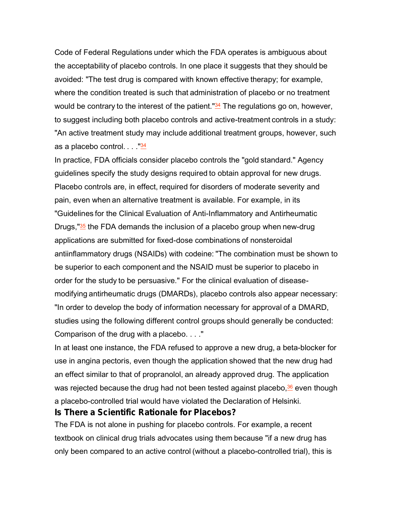Code of Federal Regulations under which the FDA operates is ambiguous about the acceptability of placebo controls. In one place it suggests that they should be avoided: "The test drug is compared with known effective therapy; for example, where the condition treated is such that administration of placebo or no treatment would be contrary to the interest of the patient." $\frac{34}{10}$  The regulations go on, however, to suggest including both placebo controls and active-treatment controls in a study: "An active treatment study may include additional treatment groups, however, such as a placebo control.  $\frac{34}{3}$ 

In practice, FDA officials consider placebo controls the "gold standard." Agency guidelines specify the study designs required to obtain approval for new drugs. Placebo controls are, in effect, required for disorders of moderate severity and pain, even when an alternative treatment is available. For example, in its "Guidelines for the Clinical Evaluation of Anti-Inflammatory and Antirheumatic Drugs,"<sup>35</sup> the FDA demands the inclusion of a placebo group when new-drug applications are submitted for fixed-dose combinations of nonsteroidal antiinflammatory drugs (NSAIDs) with codeine: "The combination must be shown to be superior to each component and the NSAID must be superior to placebo in order for the study to be persuasive." For the clinical evaluation of diseasemodifying antirheumatic drugs (DMARDs), placebo controls also appear necessary: "In order to develop the body of information necessary for approval of a DMARD, studies using the following different control groups should generally be conducted: Comparison of the drug with a placebo. . . ."

In at least one instance, the FDA refused to approve a new drug, a beta-blocker for use in angina pectoris, even though the application showed that the new drug had an effect similar to that of propranolol, an already approved drug. The application was rejected because the drug had not been tested against placebo, $36$  even though a placebo-controlled trial would have violated the Declaration of Helsinki. Is There a Scientific Rationale for Placebos?

The FDA is not alone in pushing for placebo controls. For example, a recent textbook on clinical drug trials advocates using them because "if a new drug has only been compared to an active control (without a placebo-controlled trial), this is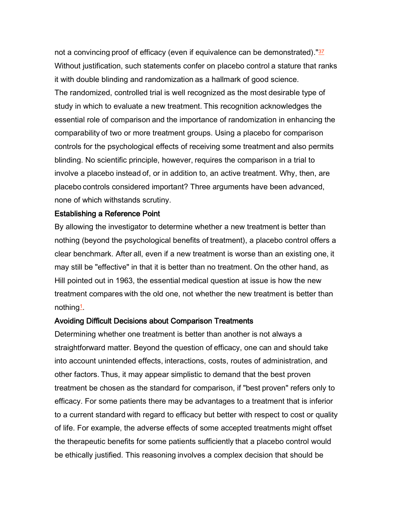not a convincing proof of efficacy (even if equivalence can be demonstrated)."<sup>37</sup> Without justification, such statements confer on placebo control a stature that ranks it with double blinding and randomization as a hallmark of good science. The randomized, controlled trial is well recognized as the most desirable type of study in which to evaluate a new treatment. This recognition acknowledges the essential role of comparison and the importance of randomization in enhancing the comparability of two or more treatment groups. Using a placebo for comparison controls for the psychological effects of receiving some treatment and also permits blinding. No scientific principle, however, requires the comparison in a trial to involve a placebo instead of, or in addition to, an active treatment. Why, then, are placebo controls considered important? Three arguments have been advanced, none of which withstands scrutiny.

#### Establishing a Reference Point

By allowing the investigator to determine whether a new treatment is better than nothing (beyond the psychological benefits of treatment), a placebo control offers a clear benchmark. After all, even if a new treatment is worse than an existing one, it may still be "effective" in that it is better than no treatment. On the other hand, as Hill pointed out in 1963, the essential medical question at issue is how the new treatment compares with the old one, not whether the new treatment is better than nothing1.

## Avoiding Difficult Decisions about Comparison Treatments

Determining whether one treatment is better than another is not always a straightforward matter. Beyond the question of efficacy, one can and should take into account unintended effects, interactions, costs, routes of administration, and other factors. Thus, it may appear simplistic to demand that the best proven treatment be chosen as the standard for comparison, if "best proven" refers only to efficacy. For some patients there may be advantages to a treatment that is inferior to a current standard with regard to efficacy but better with respect to cost or quality of life. For example, the adverse effects of some accepted treatments might offset the therapeutic benefits for some patients sufficiently that a placebo control would be ethically justified. This reasoning involves a complex decision that should be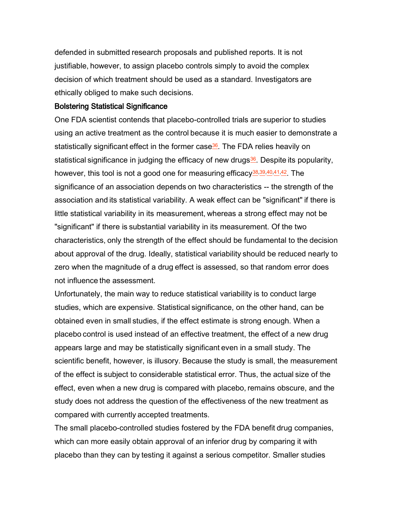defended in submitted research proposals and published reports. It is not justifiable, however, to assign placebo controls simply to avoid the complex decision of which treatment should be used as a standard. Investigators are ethically obliged to make such decisions.

## Bolstering Statistical Significance

One FDA scientist contends that placebo-controlled trials are superior to studies using an active treatment as the control because it is much easier to demonstrate a statistically significant effect in the former case<sup>36</sup>. The FDA relies heavily on statistical significance in judging the efficacy of new drugs<sup>36</sup>. Despite its popularity, however, this tool is not a good one for measuring efficacy $\frac{38,39,40,41,42}{2}$ . The significance of an association depends on two characteristics -- the strength of the association and its statistical variability. A weak effect can be "significant" if there is little statistical variability in its measurement, whereas a strong effect may not be "significant" if there is substantial variability in its measurement. Of the two characteristics, only the strength of the effect should be fundamental to the decision about approval of the drug. Ideally, statistical variability should be reduced nearly to zero when the magnitude of a drug effect is assessed, so that random error does not influence the assessment.

Unfortunately, the main way to reduce statistical variability is to conduct large studies, which are expensive. Statistical significance, on the other hand, can be obtained even in small studies, if the effect estimate is strong enough. When a placebo control is used instead of an effective treatment, the effect of a new drug appears large and may be statistically significant even in a small study. The scientific benefit, however, is illusory. Because the study is small, the measurement of the effect is subject to considerable statistical error. Thus, the actual size of the effect, even when a new drug is compared with placebo, remains obscure, and the study does not address the question of the effectiveness of the new treatment as compared with currently accepted treatments.

The small placebo-controlled studies fostered by the FDA benefit drug companies, which can more easily obtain approval of an inferior drug by comparing it with placebo than they can by testing it against a serious competitor. Smaller studies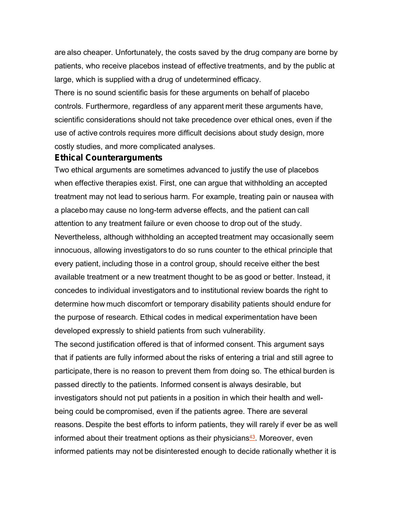are also cheaper. Unfortunately, the costs saved by the drug company are borne by patients, who receive placebos instead of effective treatments, and by the public at large, which is supplied with a drug of undetermined efficacy.

There is no sound scientific basis for these arguments on behalf of placebo controls. Furthermore, regardless of any apparent merit these arguments have, scientific considerations should not take precedence over ethical ones, even if the use of active controls requires more difficult decisions about study design, more costly studies, and more complicated analyses.

## Ethical Counterarguments

Two ethical arguments are sometimes advanced to justify the use of placebos when effective therapies exist. First, one can argue that withholding an accepted treatment may not lead to serious harm. For example, treating pain or nausea with a placebo may cause no long-term adverse effects, and the patient can call attention to any treatment failure or even choose to drop out of the study. Nevertheless, although withholding an accepted treatment may occasionally seem innocuous, allowing investigators to do so runs counter to the ethical principle that every patient, including those in a control group, should receive either the best available treatment or a new treatment thought to be as good or better. Instead, it concedes to individual investigators and to institutional review boards the right to determine how much discomfort or temporary disability patients should endure for the purpose of research. Ethical codes in medical experimentation have been developed expressly to shield patients from such vulnerability.

The second justification offered is that of informed consent. This argument says that if patients are fully informed about the risks of entering a trial and still agree to participate, there is no reason to prevent them from doing so. The ethical burden is passed directly to the patients. Informed consent is always desirable, but investigators should not put patients in a position in which their health and wellbeing could be compromised, even if the patients agree. There are several reasons. Despite the best efforts to inform patients, they will rarely if ever be as well informed about their treatment options as their physicians $43$ . Moreover, even informed patients may not be disinterested enough to decide rationally whether it is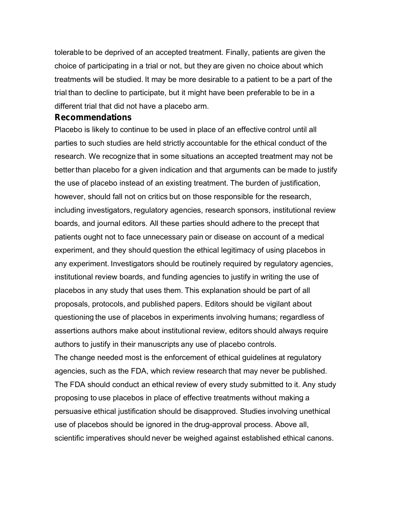tolerable to be deprived of an accepted treatment. Finally, patients are given the choice of participating in a trial or not, but they are given no choice about which treatments will be studied. It may be more desirable to a patient to be a part of the trial than to decline to participate, but it might have been preferable to be in a different trial that did not have a placebo arm.

#### Recommendations

Placebo is likely to continue to be used in place of an effective control until all parties to such studies are held strictly accountable for the ethical conduct of the research. We recognize that in some situations an accepted treatment may not be better than placebo for a given indication and that arguments can be made to justify the use of placebo instead of an existing treatment. The burden of justification, however, should fall not on critics but on those responsible for the research, including investigators, regulatory agencies, research sponsors, institutional review boards, and journal editors. All these parties should adhere to the precept that patients ought not to face unnecessary pain or disease on account of a medical experiment, and they should question the ethical legitimacy of using placebos in any experiment. Investigators should be routinely required by regulatory agencies, institutional review boards, and funding agencies to justify in writing the use of placebos in any study that uses them. This explanation should be part of all proposals, protocols, and published papers. Editors should be vigilant about questioning the use of placebos in experiments involving humans; regardless of assertions authors make about institutional review, editors should always require authors to justify in their manuscripts any use of placebo controls.

The change needed most is the enforcement of ethical guidelines at regulatory agencies, such as the FDA, which review research that may never be published. The FDA should conduct an ethical review of every study submitted to it. Any study proposing to use placebos in place of effective treatments without making a persuasive ethical justification should be disapproved. Studies involving unethical use of placebos should be ignored in the drug-approval process. Above all, scientific imperatives should never be weighed against established ethical canons.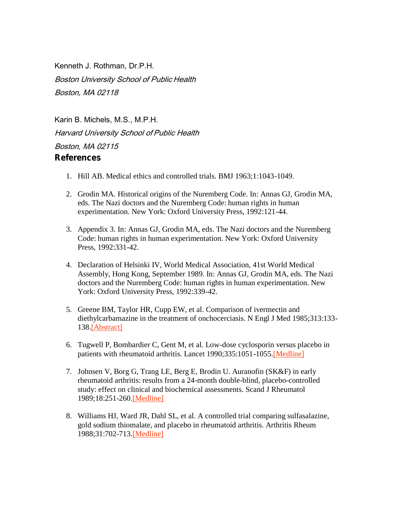Kenneth J. Rothman, Dr.P.H. Boston University School of Public Health Boston, MA 02118

Karin B. Michels, M.S., M.P.H. Harvard University School of Public Health Boston, MA 02115 References

- 1. Hill AB. Medical ethics and controlled trials. BMJ 1963;1:1043-1049.
- 2. Grodin MA. Historical origins of the Nuremberg Code. In: Annas GJ, Grodin MA, eds. The Nazi doctors and the Nuremberg Code: human rights in human experimentation. New York: Oxford University Press, 1992:121-44.
- 3. Appendix 3. In: Annas GJ, Grodin MA, eds. The Nazi doctors and the Nuremberg Code: human rights in human experimentation. New York: Oxford University Press, 1992:331-42.
- 4. Declaration of Helsinki IV, World Medical Association, 41st World Medical Assembly, Hong Kong, September 1989. In: Annas GJ, Grodin MA, eds. The Nazi doctors and the Nuremberg Code: human rights in human experimentation. New York: Oxford University Press, 1992:339-42.
- 5. Greene BM, Taylor HR, Cupp EW, et al. Comparison of ivermectin and diethylcarbamazine in the treatment of onchocerciasis. N Engl J Med 1985;313:133- 138[.\[Abstract\]](http://content.nejm.org/cgi/ijlink?linkType=ABST&journalCode=nejm&resid=313/3/133)
- 6. Tugwell P, Bombardier C, Gent M, et al. Low-dose cyclosporin versus placebo in patients with rheumatoid arthritis. Lancet 1990;335:1051-1055[.\[Medline\]](http://content.nejm.org/cgi/external_ref?access_num=1970370&link_type=MED)
- 7. Johnsen V, Borg G, Trang LE, Berg E, Brodin U. Auranofin (SK&F) in early rheumatoid arthritis: results from a 24-month double-blind, placebo-controlled study: effect on clinical and biochemical assessments. Scand J Rheumatol 1989;18:251-260[.\[Medline\]](http://content.nejm.org/cgi/external_ref?access_num=2688083&link_type=MED)
- 8. Williams HJ, Ward JR, Dahl SL, et al. A controlled trial comparing sulfasalazine, gold sodium thiomalate, and placebo in rheumatoid arthritis. Arthritis Rheum 1988;31:702-713[.\[Medline\]](http://content.nejm.org/cgi/external_ref?access_num=2898244&link_type=MED)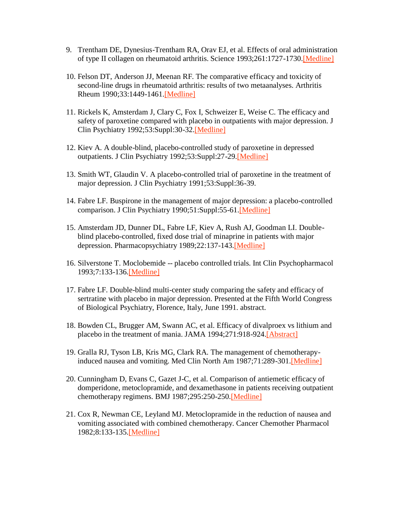- 9. Trentham DE, Dynesius-Trentham RA, Orav EJ, et al. Effects of oral administration of type II collagen on rheumatoid arthritis. Science 1993;261:1727-1730[.\[Medline\]](http://content.nejm.org/cgi/external_ref?access_num=8378772&link_type=MED)
- 10. Felson DT, Anderson JJ, Meenan RF. The comparative efficacy and toxicity of second-line drugs in rheumatoid arthritis: results of two metaanalyses. Arthritis Rheum 1990;33:1449-1461[.\[Medline\]](http://content.nejm.org/cgi/external_ref?access_num=1977391&link_type=MED)
- 11. Rickels K, Amsterdam J, Clary C, Fox I, Schweizer E, Weise C. The efficacy and safety of paroxetine compared with placebo in outpatients with major depression. J Clin Psychiatry 1992;53:Suppl:30-32[.\[Medline\]](http://content.nejm.org/cgi/external_ref?access_num=1531820&link_type=MED)
- 12. Kiev A. A double-blind, placebo-controlled study of paroxetine in depressed outpatients. J Clin Psychiatry 1992;53:Suppl:27-29[.\[Medline\]](http://content.nejm.org/cgi/external_ref?access_num=1531818&link_type=MED)
- 13. Smith WT, Glaudin V. A placebo-controlled trial of paroxetine in the treatment of major depression. J Clin Psychiatry 1991;53:Suppl:36-39.
- 14. Fabre LF. Buspirone in the management of major depression: a placebo-controlled comparison. J Clin Psychiatry 1990;51:Suppl:55-61[.\[Medline\]](http://content.nejm.org/cgi/external_ref?access_num=2211570&link_type=MED)
- 15. Amsterdam JD, Dunner DL, Fabre LF, Kiev A, Rush AJ, Goodman LI. Doubleblind placebo-controlled, fixed dose trial of minaprine in patients with major depression. Pharmacopsychiatry 1989;22:137-143[.\[Medline\]](http://content.nejm.org/cgi/external_ref?access_num=2668978&link_type=MED)
- 16. Silverstone T. Moclobemide -- placebo controlled trials. Int Clin Psychopharmacol 1993;7:133-136[.\[Medline\]](http://content.nejm.org/cgi/external_ref?access_num=8468433&link_type=MED)
- 17. Fabre LF. Double-blind multi-center study comparing the safety and efficacy of sertratine with placebo in major depression. Presented at the Fifth World Congress of Biological Psychiatry, Florence, Italy, June 1991. abstract.
- 18. Bowden CL, Brugger AM, Swann AC, et al. Efficacy of divalproex vs lithium and placebo in the treatment of mania. JAMA 1994;271:918-924[.\[Abstract\]](http://content.nejm.org/cgi/ijlink?linkType=ABST&journalCode=jama&resid=271/12/918)
- 19. Gralla RJ, Tyson LB, Kris MG, Clark RA. The management of chemotherapyinduced nausea and vomiting. Med Clin North Am 1987;71:289-301[.\[Medline\]](http://content.nejm.org/cgi/external_ref?access_num=3546981&link_type=MED)
- 20. Cunningham D, Evans C, Gazet J-C, et al. Comparison of antiemetic efficacy of domperidone, metoclopramide, and dexamethasone in patients receiving outpatient chemotherapy regimens. BMJ 1987;295:250-250[.\[Medline\]](http://content.nejm.org/cgi/external_ref?access_num=3115394&link_type=MED)
- 21. Cox R, Newman CE, Leyland MJ. Metoclopramide in the reduction of nausea and vomiting associated with combined chemotherapy. Cancer Chemother Pharmacol 1982;8:133-135[.\[Medline\]](http://content.nejm.org/cgi/external_ref?access_num=7046974&link_type=MED)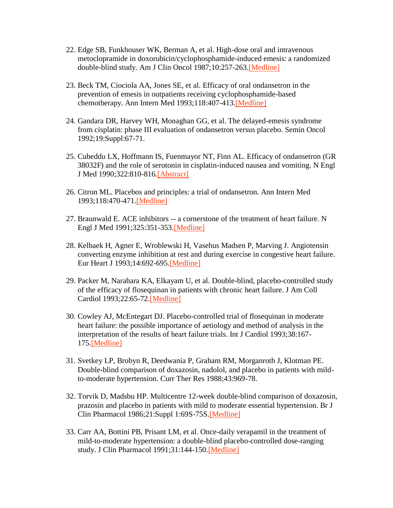- 22. Edge SB, Funkhouser WK, Berman A, et al. High-dose oral and intravenous metoclopramide in doxorubicin/cyclophosphamide-induced emesis: a randomized double-blind study. Am J Clin Oncol 1987;10:257-263[.\[Medline\]](http://content.nejm.org/cgi/external_ref?access_num=3296734&link_type=MED)
- 23. Beck TM, Ciociola AA, Jones SE, et al. Efficacy of oral ondansetron in the prevention of emesis in outpatients receiving cyclophosphamide-based chemotherapy. Ann Intern Med 1993;118:407-413[.\[Medline\]](http://content.nejm.org/cgi/external_ref?access_num=8439113&link_type=MED)
- 24. Gandara DR, Harvey WH, Monaghan GG, et al. The delayed-emesis syndrome from cisplatin: phase III evaluation of ondansetron versus placebo. Semin Oncol 1992;19:Suppl:67-71.
- 25. Cubeddu LX, Hoffmann IS, Fuenmayor NT, Finn AL. Efficacy of ondansetron (GR 38032F) and the role of serotonin in cisplatin-induced nausea and vomiting. N Engl J Med 1990;322:810-816[.\[Abstract\]](http://content.nejm.org/cgi/ijlink?linkType=ABST&journalCode=nejm&resid=322/12/810)
- 26. Citron ML. Placebos and principles: a trial of ondansetron. Ann Intern Med 1993;118:470-471[.\[Medline\]](http://content.nejm.org/cgi/external_ref?access_num=8439123&link_type=MED)
- 27. Braunwald E. ACE inhibitors -- a cornerstone of the treatment of heart failure. N Engl J Med 1991;325:351-353[.\[Medline\]](http://content.nejm.org/cgi/external_ref?access_num=2057038&link_type=MED)
- 28. Kelbaek H, Agner E, Wroblewski H, Vasehus Madsen P, Marving J. Angiotensin converting enzyme inhibition at rest and during exercise in congestive heart failure. Eur Heart J 1993;14:692-695[.\[Medline\]](http://content.nejm.org/cgi/external_ref?access_num=8508863&link_type=MED)
- 29. Packer M, Narahara KA, Elkayam U, et al. Double-blind, placebo-controlled study of the efficacy of flosequinan in patients with chronic heart failure. J Am Coll Cardiol 1993;22:65-72[.\[Medline\]](http://content.nejm.org/cgi/external_ref?access_num=8509565&link_type=MED)
- 30. Cowley AJ, McEntegart DJ. Placebo-controlled trial of flosequinan in moderate heart failure: the possible importance of aetiology and method of analysis in the interpretation of the results of heart failure trials. Int J Cardiol 1993;38:167- 175[.\[Medline\]](http://content.nejm.org/cgi/external_ref?access_num=8454379&link_type=MED)
- 31. Svetkey LP, Brobyn R, Deedwania P, Graham RM, Morganroth J, Klotman PE. Double-blind comparison of doxazosin, nadolol, and placebo in patients with mildto-moderate hypertension. Curr Ther Res 1988;43:969-78.
- 32. Torvik D, Madsbu HP. Multicentre 12-week double-blind comparison of doxazosin, prazosin and placebo in patients with mild to moderate essential hypertension. Br J Clin Pharmacol 1986;21:Suppl 1:69S-75S[.\[Medline\]](http://content.nejm.org/cgi/external_ref?access_num=2939870&link_type=MED)
- 33. Carr AA, Bottini PB, Prisant LM, et al. Once-daily verapamil in the treatment of mild-to-moderate hypertension: a double-blind placebo-controlled dose-ranging study. J Clin Pharmacol 1991;31:144-150[.\[Medline\]](http://content.nejm.org/cgi/external_ref?access_num=2010560&link_type=MED)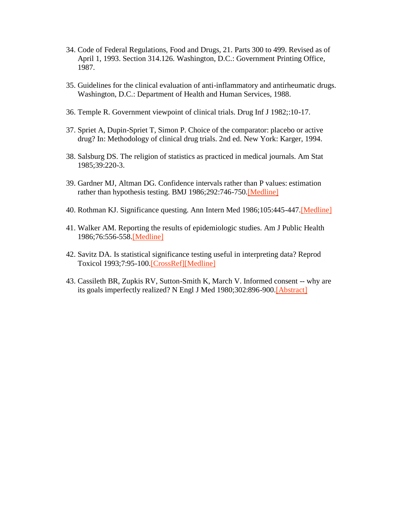- 34. Code of Federal Regulations, Food and Drugs, 21. Parts 300 to 499. Revised as of April 1, 1993. Section 314.126. Washington, D.C.: Government Printing Office, 1987.
- 35. Guidelines for the clinical evaluation of anti-inflammatory and antirheumatic drugs. Washington, D.C.: Department of Health and Human Services, 1988.
- 36. Temple R. Government viewpoint of clinical trials. Drug Inf J 1982;:10-17.
- 37. Spriet A, Dupin-Spriet T, Simon P. Choice of the comparator: placebo or active drug? In: Methodology of clinical drug trials. 2nd ed. New York: Karger, 1994.
- 38. Salsburg DS. The religion of statistics as practiced in medical journals. Am Stat 1985;39:220-3.
- 39. Gardner MJ, Altman DG. Confidence intervals rather than P values: estimation rather than hypothesis testing. BMJ 1986;292:746-750[.\[Medline\]](http://content.nejm.org/cgi/external_ref?access_num=3082422&link_type=MED)
- 40. Rothman KJ. Significance questing. Ann Intern Med 1986;105:445-447[.\[Medline\]](http://content.nejm.org/cgi/external_ref?access_num=3740684&link_type=MED)
- 41. Walker AM. Reporting the results of epidemiologic studies. Am J Public Health 1986;76:556-558[.\[Medline\]](http://content.nejm.org/cgi/external_ref?access_num=3963285&link_type=MED)
- 42. Savitz DA. Is statistical significance testing useful in interpreting data? Reprod Toxicol 1993;7:95-100[.\[CrossRef\]](http://content.nejm.org/cgi/external_ref?access_num=10.1016/0890-6238(93)90073-G&link_type=DOI)[\[Medline\]](http://content.nejm.org/cgi/external_ref?access_num=8499671&link_type=MED)
- 43. Cassileth BR, Zupkis RV, Sutton-Smith K, March V. Informed consent -- why are its goals imperfectly realized? N Engl J Med 1980;302:896-900[.\[Abstract\]](http://content.nejm.org/cgi/ijlink?linkType=ABST&journalCode=nejm&resid=302/16/896)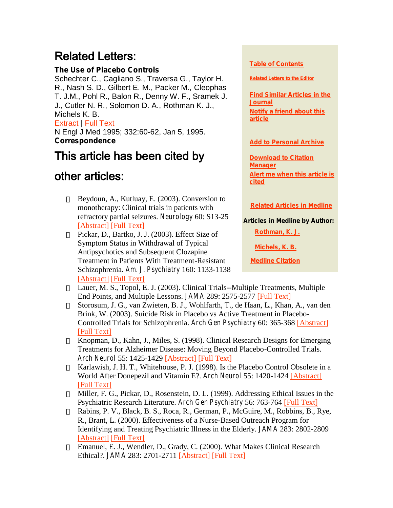# Related Letters:

[The Use of Placebo Controls](http://content.nejm.org/cgi/content/short/332/1/60) Schechter C., Cagliano S., Traversa G., Taylor H. R., Nash S. D., Gilbert E. M., Packer M., Cleophas T. J.M., Pohl R., Balon R., Denny W. F., Sramek J. J., Cutler N. R., Solomon D. A., Rothman K. J., Michels K. B. [Extract](http://content.nejm.org/cgi/content/extract/332/1/60) | [Full Text](http://content.nejm.org/cgi/content/full/332/1/60) N Engl J Med 1995; 332:60-62, Jan 5, 1995. Correspondence

# This article has been cited by

# other articles:

Beydoun, A., Kutluay, E. (2003). Conversion to monotherapy: Clinical trials in patients with refractory partial seizures. *Neurology* 60: S13-25 [\[Abstract\]](http://www.neurology.org/cgi/content/abstract/60/11_suppl_4/S13) [\[Full Text\]](http://www.neurology.org/cgi/content/full/60/11_suppl_4/S13)

Pickar, D., Bartko, J. J. (2003). Effect Size of Symptom Status in Withdrawal of Typical Antipsychotics and Subsequent Clozapine Treatment in Patients With Treatment-Resistant Schizophrenia. *Am. J. Psychiatry* 160: 1133-1138 [\[Abstract\]](http://ajp.psychiatryonline.org/cgi/content/abstract/160/6/1133) [\[Full Text\]](http://ajp.psychiatryonline.org/cgi/content/full/160/6/1133)

[Table of Contents](http://content.nejm.org/content/vol331/issue6/index.shtml)

Related Letters to the Editor

[Find Similar Articles in the](http://content.nejm.org/cgi/search?qbe=nejm;331/6/394&journalcode=nejm&minscore=5000)  [Journal](http://content.nejm.org/cgi/search?qbe=nejm;331/6/394&journalcode=nejm&minscore=5000) [Notify a friend about this](http://content.nejm.org/cgi/mailafriend?url=http://content.nejm.org/cgi/content/short/331/6/394&title=The+Continuing+Unethical+Use+of+Placebo+Controls)  [article](http://content.nejm.org/cgi/mailafriend?url=http://content.nejm.org/cgi/content/short/331/6/394&title=The+Continuing+Unethical+Use+of+Placebo+Controls)

[Add to Personal Archive](http://content.nejm.org/cgi/folders?action=addtofolder&wherefrom=JOURNALS&wrapped_id=nejm;331/6/394)

[Download to Citation](http://content.nejm.org/cgi/citmgr?gca=nejm;331/6/394)  **[Manager](http://content.nejm.org/cgi/citmgr?gca=nejm;331/6/394)** [Alert me when this article is](http://content.nejm.org/cgi/alerts/ctalert?alertType=citedby&addAlert=cited_by&saveAlert=no&cited_by_criteria_resid=nejm;331/6/394&return_type=article&return_url=%2Fcgi%2Fcontent%2Ffull%2F331%2F6%2F394%3Fijkey%3Da4cde8a4ec9f9fdc8d15ced82ce06c3b)  [cited](http://content.nejm.org/cgi/alerts/ctalert?alertType=citedby&addAlert=cited_by&saveAlert=no&cited_by_criteria_resid=nejm;331/6/394&return_type=article&return_url=%2Fcgi%2Fcontent%2Ffull%2F331%2F6%2F394%3Fijkey%3Da4cde8a4ec9f9fdc8d15ced82ce06c3b)

[Related Articles in Medline](http://content.nejm.org/cgi/external_ref?access_num=8028622&link_type=MED_NBRS)

Articles in Medline by Author:

[Rothman, K. J.](http://content.nejm.org/cgi/external_ref?access_num=Rothman+KJ&link_type=AUTHORSEARCH)

[Michels,](http://content.nejm.org/cgi/external_ref?access_num=Michels+KB&link_type=AUTHORSEARCH) K. B.

[Medline Citation](http://content.nejm.org/cgi/external_ref?access_num=8028622&link_type=PUBMED)

Lauer, M. S., Topol, E. J. (2003). Clinical Trials--Multiple Treatments, Multiple End Points, and Multiple Lessons. *JAMA* 289: 2575-2577 [\[Full Text\]](http://jama.ama-assn.org/cgi/content/full/289/19/2575)

Storosum, J. G., van Zwieten, B. J., Wohlfarth, T., de Haan, L., Khan, A., van den Brink, W. (2003). Suicide Risk in Placebo vs Active Treatment in Placebo-Controlled Trials for Schizophrenia. *Arch Gen Psychiatry* 60: 365-368 [\[Abstract\]](http://archpsyc.ama-assn.org/cgi/content/abstract/60/4/365) [\[Full Text\]](http://archpsyc.ama-assn.org/cgi/content/full/60/4/365)

Knopman, D., Kahn, J., Miles, S. (1998). Clinical Research Designs for Emerging Treatments for Alzheimer Disease: Moving Beyond Placebo-Controlled Trials. *Arch Neurol* 55: 1425-1429 [\[Abstract\]](http://archneur.ama-assn.org/cgi/content/abstract/55/11/1425) [\[Full Text\]](http://archneur.ama-assn.org/cgi/content/full/55/11/1425)

Karlawish, J. H. T., Whitehouse, P. J. (1998). Is the Placebo Control Obsolete in a World After Donepezil and Vitamin E?. *Arch Neurol* 55: 1420-1424 [\[Abstract\]](http://archneur.ama-assn.org/cgi/content/abstract/55/11/1420) [\[Full Text\]](http://archneur.ama-assn.org/cgi/content/full/55/11/1420)

Miller, F. G., Pickar, D., Rosenstein, D. L. (1999). Addressing Ethical Issues in the Psychiatric Research Literature. *Arch Gen Psychiatry* 56: 763-764 [\[Full Text\]](http://archpsyc.ama-assn.org/cgi/content/full/56/8/763) Rabins, P. V., Black, B. S., Roca, R., German, P., McGuire, M., Robbins, B., Rye, R., Brant, L. (2000). Effectiveness of a Nurse-Based Outreach Program for Identifying and Treating Psychiatric Illness in the Elderly. *JAMA* 283: 2802-2809 [\[Abstract\]](http://jama.ama-assn.org/cgi/content/abstract/283/21/2802) [\[Full Text\]](http://jama.ama-assn.org/cgi/content/full/283/21/2802)

Emanuel, E. J., Wendler, D., Grady, C. (2000). What Makes Clinical Research Ethical?. *JAMA* 283: 2701-2711 [\[Abstract\]](http://jama.ama-assn.org/cgi/content/abstract/283/20/2701) [\[Full Text\]](http://jama.ama-assn.org/cgi/content/full/283/20/2701)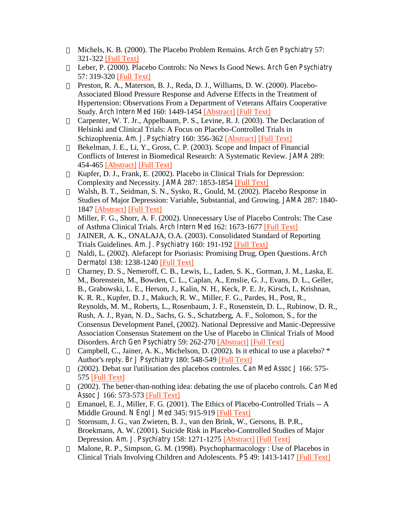Michels, K. B. (2000). The Placebo Problem Remains. *Arch Gen Psychiatry* 57: 321-322 [\[Full Text\]](http://archpsyc.ama-assn.org/cgi/content/full/57/4/321)

Leber, P. (2000). Placebo Controls: No News Is Good News. *Arch Gen Psychiatry* 57: 319-320 [\[Full Text\]](http://archpsyc.ama-assn.org/cgi/content/full/57/4/319)

Preston, R. A., Materson, B. J., Reda, D. J., Williams, D. W. (2000). Placebo-Associated Blood Pressure Response and Adverse Effects in the Treatment of Hypertension: Observations From a Department of Veterans Affairs Cooperative Study. *Arch Intern Med* 160: 1449-1454 [\[Abstract\]](http://archinte.ama-assn.org/cgi/content/abstract/160/10/1449) [\[Full Text\]](http://archinte.ama-assn.org/cgi/content/full/160/10/1449)

Carpenter, W. T. Jr., Appelbaum, P. S., Levine, R. J. (2003). The Declaration of Helsinki and Clinical Trials: A Focus on Placebo-Controlled Trials in

Schizophrenia. *Am. J. Psychiatry* 160: 356-362 [\[Abstract\]](http://ajp.psychiatryonline.org/cgi/content/abstract/160/2/356) [\[Full Text\]](http://ajp.psychiatryonline.org/cgi/content/full/160/2/356)

Bekelman, J. E., Li, Y., Gross, C. P. (2003). Scope and Impact of Financial Conflicts of Interest in Biomedical Research: A Systematic Review. *JAMA* 289: 454-465 [\[Abstract\]](http://jama.ama-assn.org/cgi/content/abstract/289/4/454) [\[Full Text\]](http://jama.ama-assn.org/cgi/content/full/289/4/454)

Kupfer, D. J., Frank, E. (2002). Placebo in Clinical Trials for Depression: Complexity and Necessity. *JAMA* 287: 1853-1854 [\[Full Text\]](http://jama.ama-assn.org/cgi/content/full/287/14/1853)

Walsh, B. T., Seidman, S. N., Sysko, R., Gould, M. (2002). Placebo Response in Studies of Major Depression: Variable, Substantial, and Growing. *JAMA* 287: 1840- 1847 [\[Abstract\]](http://jama.ama-assn.org/cgi/content/abstract/287/14/1840) [\[Full Text\]](http://jama.ama-assn.org/cgi/content/full/287/14/1840)

Miller, F. G., Shorr, A. F. (2002). Unnecessary Use of Placebo Controls: The Case of Asthma Clinical Trials. *Arch Intern Med* 162: 1673-1677 [\[Full Text\]](http://archinte.ama-assn.org/cgi/content/full/162/15/1673)

JAINER, A. K., ONALAJA, O.A. (2003). Consolidated Standard of Reporting Trials Guidelines. *Am. J. Psychiatry* 160: 191-192 [\[Full Text\]](http://ajp.psychiatryonline.org/cgi/content/full/160/1/191-b)

Naldi, L. (2002). Alefacept for Psoriasis: Promising Drug, Open Questions. *Arch Dermatol* 138: 1238-1240 [\[Full Text\]](http://archderm.ama-assn.org/cgi/content/full/138/9/1238)

Charney, D. S., Nemeroff, C. B., Lewis, L., Laden, S. K., Gorman, J. M., Laska, E. M., Borenstein, M., Bowden, C. L., Caplan, A., Emslie, G. J., Evans, D. L., Geller, B., Grabowski, L. E., Herson, J., Kalin, N. H., Keck, P. E. Jr, Kirsch, I., Krishnan, K. R. R., Kupfer, D. J., Makuch, R. W., Miller, F. G., Pardes, H., Post, R.,

Reynolds, M. M., Roberts, L., Rosenbaum, J. F., Rosenstein, D. L., Rubinow, D. R., Rush, A. J., Ryan, N. D., Sachs, G. S., Schatzberg, A. F., Solomon, S., for the

Consensus Development Panel, (2002). National Depressive and Manic-Depressive Association Consensus Statement on the Use of Placebo in Clinical Trials of Mood Disorders. *Arch Gen Psychiatry* 59: 262-270 [\[Abstract\]](http://archpsyc.ama-assn.org/cgi/content/abstract/59/3/262) [\[Full Text\]](http://archpsyc.ama-assn.org/cgi/content/full/59/3/262)

Campbell, C., Jainer, A. K., Michelson, D. (2002). Is it ethical to use a placebo? \* Author's reply. *Br J Psychiatry* 180: 548-549 [\[Full Text\]](http://bjp.rcpsych.org/cgi/content/full/180/6/548)

(2002). Debat sur l'utilisation des placebos controles. *Can Med Assoc J* 166: 575- 575 [\[Full Text\]](http://www.cmaj.ca/cgi/content/full/166/5/575)

(2002). The better-than-nothing idea: debating the use of placebo controls. *Can Med Assoc J* 166: 573-573 [\[Full Text\]](http://www.cmaj.ca/cgi/content/full/166/5/573)

Emanuel, E. J., Miller, F. G. (2001). The Ethics of Placebo-Controlled Trials -- A Middle Ground. *N Engl J Med* 345: 915-919 [\[Full Text\]](http://content.nejm.org/cgi/content/full/345/12/915)

Storosum, J. G., van Zwieten, B. J., van den Brink, W., Gersons, B. P.R., Broekmans, A. W. (2001). Suicide Risk in Placebo-Controlled Studies of Major Depression. *Am. J. Psychiatry* 158: 1271-1275 [\[Abstract\]](http://ajp.psychiatryonline.org/cgi/content/abstract/158/8/1271) [\[Full Text\]](http://ajp.psychiatryonline.org/cgi/content/full/158/8/1271)

Malone, R. P., Simpson, G. M. (1998). Psychopharmacology : Use of Placebos in Clinical Trials Involving Children and Adolescents. *PS* 49: 1413-1417 [\[Full Text\]](http://psychservices.psychiatryonline.org/cgi/content/full/49/11/1413)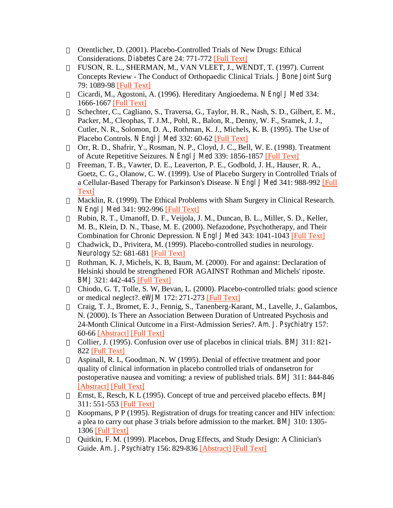Orentlicher, D. (2001). Placebo-Controlled Trials of New Drugs: Ethical Considerations. *Diabetes Care* 24: 771-772 [\[Full Text\]](http://care.diabetesjournals.org/cgi/content/full/24/4/771)

FUSON, R. L., SHERMAN, M., VAN VLEET, J., WENDT, T. (1997). Current Concepts Review - The Conduct of Orthopaedic Clinical Trials. *J Bone Joint Surg* 79: 1089-98 [\[Full Text\]](http://www.ejbjs.org/cgi/content/full/79/7/1089)

Cicardi, M., Agostoni, A. (1996). Hereditary Angioedema. *N Engl J Med* 334: 1666-1667 [\[Full Text\]](http://content.nejm.org/cgi/content/full/334/25/1666)

Schechter, C., Cagliano, S., Traversa, G., Taylor, H. R., Nash, S. D., Gilbert, E. M., Packer, M., Cleophas, T. J.M., Pohl, R., Balon, R., Denny, W. F., Sramek, J. J., Cutler, N. R., Solomon, D. A., Rothman, K. J., Michels, K. B. (1995). The Use of Placebo Controls. *N Engl J Med* 332: 60-62 [\[Full Text\]](http://content.nejm.org/cgi/content/full/332/1/60)

Orr, R. D., Shafrir, Y., Rosman, N. P., Cloyd, J. C., Bell, W. E. (1998). Treatment of Acute Repetitive Seizures. *N Engl J Med* 339: 1856-1857 [\[Full Text\]](http://content.nejm.org/cgi/content/full/339/25/1856)

Freeman, T. B., Vawter, D. E., Leaverton, P. E., Godbold, J. H., Hauser, R. A., Goetz, C. G., Olanow, C. W. (1999). Use of Placebo Surgery in Controlled Trials of a Cellular-Based Therapy for Parkinson's Disease. *N Engl J Med* 341: 988-992 [\[Full](http://content.nejm.org/cgi/content/full/341/13/988)  **Text** 

Macklin, R. (1999). The Ethical Problems with Sham Surgery in Clinical Research. *N Engl J Med* 341: 992-996 [\[Full Text\]](http://content.nejm.org/cgi/content/full/341/13/992)

Rubin, R. T., Umanoff, D. F., Veijola, J. M., Duncan, B. L., Miller, S. D., Keller, M. B., Klein, D. N., Thase, M. E. (2000). Nefazodone, Psychotherapy, and Their Combination for Chronic Depression. *N Engl J Med* 343: 1041-1043 [\[Full Text\]](http://content.nejm.org/cgi/content/full/343/14/1041) Chadwick, D., Privitera, M. (1999). Placebo-controlled studies in neurology. *Neurology* 52: 681-681 [\[Full Text\]](http://www.neurology.org/cgi/content/full/52/4/681)

Rothman, K. J, Michels, K. B, Baum, M. (2000). For and against: Declaration of Helsinki should be strengthened FOR AGAINST Rothman and Michels' riposte. *BMJ* 321: 442-445 [\[Full Text\]](http://www.bmj.com/cgi/content/full/321/7258/442)

Chiodo, G. T, Tolle, S. W, Bevan, L. (2000). Placebo-controlled trials: good science or medical neglect?. *eWJM* 172: 271-273 [\[Full Text\]](http://www.ewjm.com/cgi/content/full/172/4/271)

Craig, T. J., Bromet, E. J., Fennig, S., Tanenberg-Karant, M., Lavelle, J., Galambos, N. (2000). Is There an Association Between Duration of Untreated Psychosis and 24-Month Clinical Outcome in a First-Admission Series?. *Am. J. Psychiatry* 157: 60-66 [\[Abstract\]](http://ajp.psychiatryonline.org/cgi/content/abstract/157/1/60) [\[Full Text\]](http://ajp.psychiatryonline.org/cgi/content/full/157/1/60)

Collier, J. (1995). Confusion over use of placebos in clinical trials. *BMJ* 311: 821- 822 [\[Full Text\]](http://www.bmj.com/cgi/content/full/311/7009/821)

Aspinall, R. L, Goodman, N. W (1995). Denial of effective treatment and poor quality of clinical information in placebo controlled trials of ondansetron for postoperative nausea and vomiting: a review of published trials. *BMJ* 311: 844-846 [\[Abstract\]](http://www.bmj.com/cgi/content/abstract/311/7009/844) [\[Full Text\]](http://www.bmj.com/cgi/content/full/311/7009/844)

Ernst, E, Resch, K L (1995). Concept of true and perceived placebo effects. *BMJ* 311: 551-553 [\[Full Text\]](http://www.bmj.com/cgi/content/full/311/7004/551)

Koopmans, P P (1995). Registration of drugs for treating cancer and HIV infection: a plea to carry out phase 3 trials before admission to the market. *BMJ* 310: 1305- 1306 [\[Full Text\]](http://www.bmj.com/cgi/content/full/310/6990/1305)

Quitkin, F. M. (1999). Placebos, Drug Effects, and Study Design: A Clinician's Guide. *Am. J. Psychiatry* 156: 829-836 [\[Abstract\]](http://ajp.psychiatryonline.org/cgi/content/abstract/156/6/829) [\[Full Text\]](http://ajp.psychiatryonline.org/cgi/content/full/156/6/829)